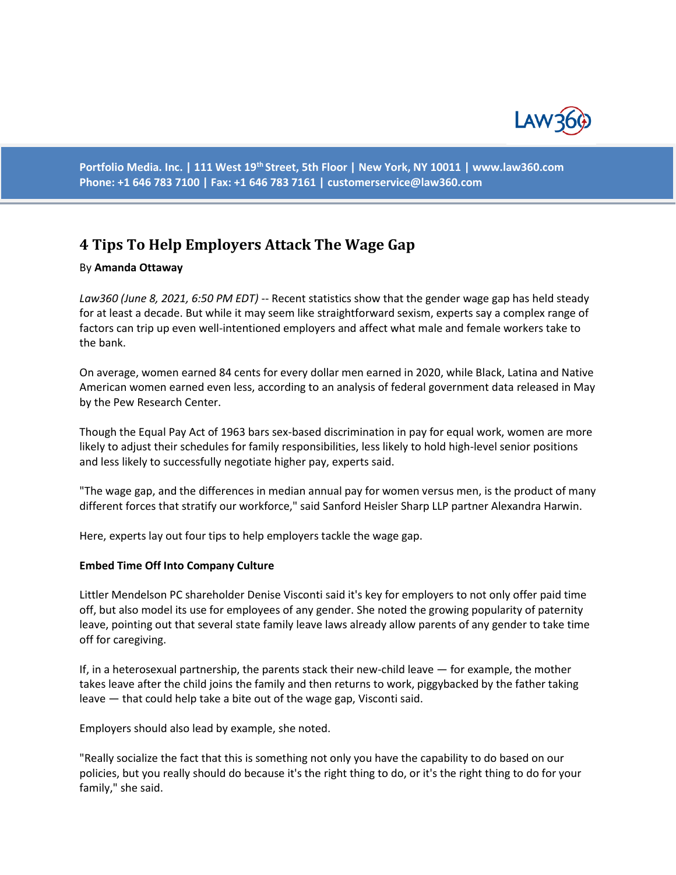

**Portfolio Media. Inc. | 111 West 19th Street, 5th Floor | New York, NY 10011 | www.law360.com Phone: +1 646 783 7100 | Fax: +1 646 783 7161 | customerservice@law360.com**

# **4 Tips To Help Employers Attack The Wage Gap**

### By **Amanda Ottaway**

*Law360 (June 8, 2021, 6:50 PM EDT)* -- Recent statistics show that the gender wage gap has held steady for at least a decade. But while it may seem like straightforward sexism, experts say a complex range of factors can trip up even well-intentioned employers and affect what male and female workers take to the bank.

On average, women earned 84 cents for every dollar men earned in 2020, while Black, Latina and Native American women earned even less, according to an analysis of federal government data released in May by the Pew Research Center.

Though the Equal Pay Act of 1963 bars sex-based discrimination in pay for equal work, women are more likely to adjust their schedules for family responsibilities, less likely to hold high-level senior positions and less likely to successfully negotiate higher pay, experts said.

"The wage gap, and the differences in median annual pay for women versus men, is the product of many different forces that stratify our workforce," said Sanford Heisler Sharp LLP partner Alexandra Harwin.

Here, experts lay out four tips to help employers tackle the wage gap.

#### **Embed Time Off Into Company Culture**

Littler Mendelson PC shareholder Denise Visconti said it's key for employers to not only offer paid time off, but also model its use for employees of any gender. She noted the growing popularity of paternity leave, pointing out that several state family leave laws already allow parents of any gender to take time off for caregiving.

If, in a heterosexual partnership, the parents stack their new-child leave — for example, the mother takes leave after the child joins the family and then returns to work, piggybacked by the father taking leave — that could help take a bite out of the wage gap, Visconti said.

Employers should also lead by example, she noted.

"Really socialize the fact that this is something not only you have the capability to do based on our policies, but you really should do because it's the right thing to do, or it's the right thing to do for your family," she said.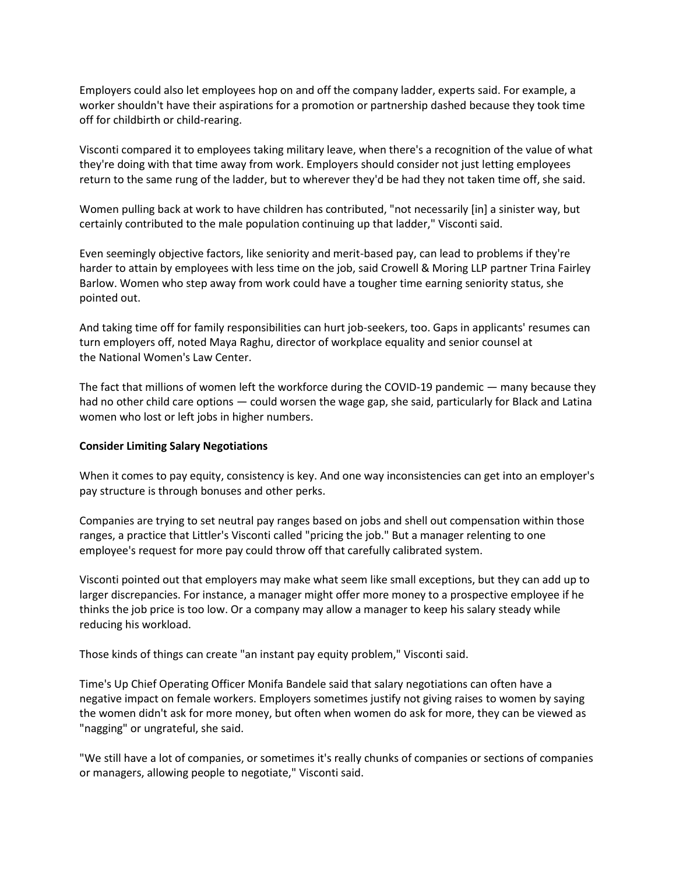Employers could also let employees hop on and off the company ladder, experts said. For example, a worker shouldn't have their aspirations for a promotion or partnership dashed because they took time off for childbirth or child-rearing.

Visconti compared it to employees taking military leave, when there's a recognition of the value of what they're doing with that time away from work. Employers should consider not just letting employees return to the same rung of the ladder, but to wherever they'd be had they not taken time off, she said.

Women pulling back at work to have children has contributed, "not necessarily [in] a sinister way, but certainly contributed to the male population continuing up that ladder," Visconti said.

Even seemingly objective factors, like seniority and merit-based pay, can lead to problems if they're harder to attain by employees with less time on the job, said Crowell & Moring LLP partner Trina Fairley Barlow. Women who step away from work could have a tougher time earning seniority status, she pointed out.

And taking time off for family responsibilities can hurt job-seekers, too. Gaps in applicants' resumes can turn employers off, noted Maya Raghu, director of workplace equality and senior counsel at the National Women's Law Center.

The fact that millions of women left the workforce during the COVID-19 pandemic — many because they had no other child care options — could worsen the wage gap, she said, particularly for Black and Latina women who lost or left jobs in higher numbers.

#### **Consider Limiting Salary Negotiations**

When it comes to pay equity, consistency is key. And one way inconsistencies can get into an employer's pay structure is through bonuses and other perks.

Companies are trying to set neutral pay ranges based on jobs and shell out compensation within those ranges, a practice that Littler's Visconti called "pricing the job." But a manager relenting to one employee's request for more pay could throw off that carefully calibrated system.

Visconti pointed out that employers may make what seem like small exceptions, but they can add up to larger discrepancies. For instance, a manager might offer more money to a prospective employee if he thinks the job price is too low. Or a company may allow a manager to keep his salary steady while reducing his workload.

Those kinds of things can create "an instant pay equity problem," Visconti said.

Time's Up Chief Operating Officer Monifa Bandele said that salary negotiations can often have a negative impact on female workers. Employers sometimes justify not giving raises to women by saying the women didn't ask for more money, but often when women do ask for more, they can be viewed as "nagging" or ungrateful, she said.

"We still have a lot of companies, or sometimes it's really chunks of companies or sections of companies or managers, allowing people to negotiate," Visconti said.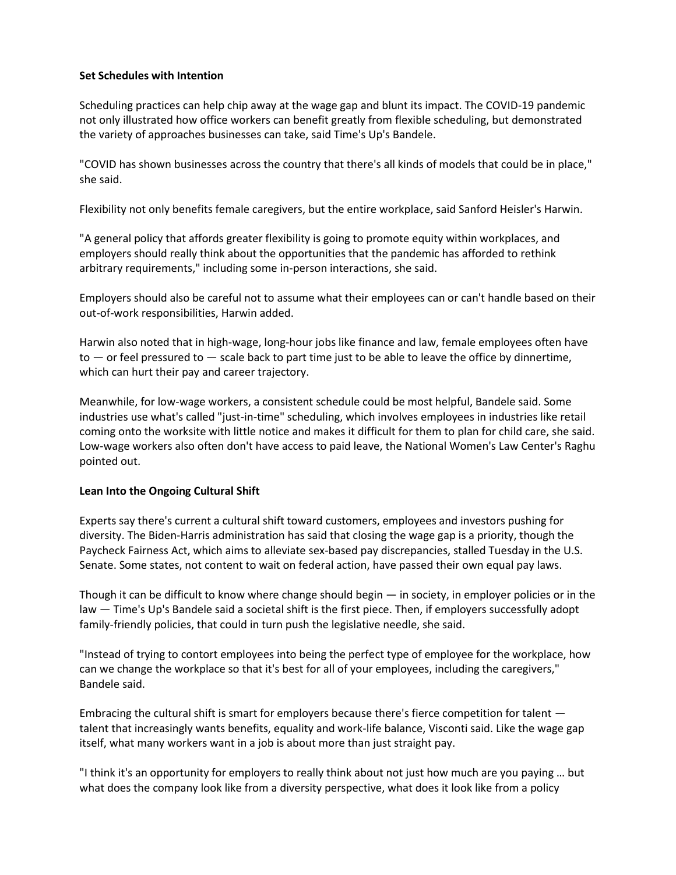## **Set Schedules with Intention**

Scheduling practices can help chip away at the wage gap and blunt its impact. The COVID-19 pandemic not only illustrated how office workers can benefit greatly from flexible scheduling, but demonstrated the variety of approaches businesses can take, said Time's Up's Bandele.

"COVID has shown businesses across the country that there's all kinds of models that could be in place," she said.

Flexibility not only benefits female caregivers, but the entire workplace, said Sanford Heisler's Harwin.

"A general policy that affords greater flexibility is going to promote equity within workplaces, and employers should really think about the opportunities that the pandemic has afforded to rethink arbitrary requirements," including some in-person interactions, she said.

Employers should also be careful not to assume what their employees can or can't handle based on their out-of-work responsibilities, Harwin added.

Harwin also noted that in high-wage, long-hour jobs like finance and law, female employees often have  $to$  — or feel pressured to — scale back to part time just to be able to leave the office by dinnertime, which can hurt their pay and career trajectory.

Meanwhile, for low-wage workers, a consistent schedule could be most helpful, Bandele said. Some industries use what's called "just-in-time" scheduling, which involves employees in industries like retail coming onto the worksite with little notice and makes it difficult for them to plan for child care, she said. Low-wage workers also often don't have access to paid leave, the National Women's Law Center's Raghu pointed out.

## **Lean Into the Ongoing Cultural Shift**

Experts say there's current a cultural shift toward customers, employees and investors pushing for diversity. The Biden-Harris administration has said that closing the wage gap is a priority, though the Paycheck Fairness Act, which aims to alleviate sex-based pay discrepancies, stalled Tuesday in the U.S. Senate. Some states, not content to wait on federal action, have passed their own equal pay laws.

Though it can be difficult to know where change should begin — in society, in employer policies or in the law — Time's Up's Bandele said a societal shift is the first piece. Then, if employers successfully adopt family-friendly policies, that could in turn push the legislative needle, she said.

"Instead of trying to contort employees into being the perfect type of employee for the workplace, how can we change the workplace so that it's best for all of your employees, including the caregivers," Bandele said.

Embracing the cultural shift is smart for employers because there's fierce competition for talent talent that increasingly wants benefits, equality and work-life balance, Visconti said. Like the wage gap itself, what many workers want in a job is about more than just straight pay.

"I think it's an opportunity for employers to really think about not just how much are you paying … but what does the company look like from a diversity perspective, what does it look like from a policy